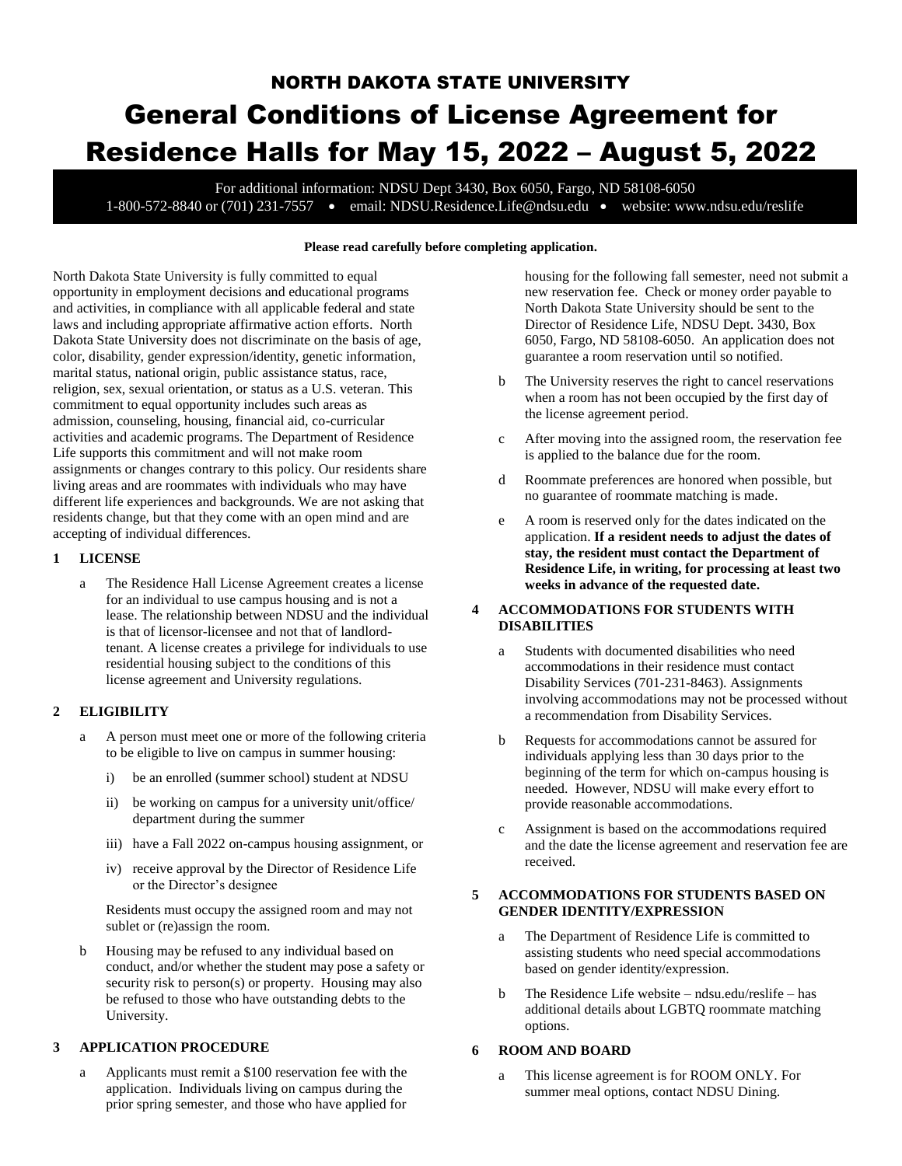# NORTH DAKOTA STATE UNIVERSITY General Conditions of License Agreement for Residence Halls for May 15, 2022 – August 5, 2022

For additional information: NDSU Dept 3430, Box 6050, Fargo, ND 58108-6050 1-800-572-8840 or (701) 231-7557 • email: [NDSU.Residence.Life@ndsu.edu](mailto:NDSU_Residence_Life@ndsu.nodak.edu) • website: www.ndsu.edu/reslife

#### **Please read carefully before completing application.**

North Dakota State University is fully committed to equal opportunity in employment decisions and educational programs and activities, in compliance with all applicable federal and state laws and including appropriate affirmative action efforts. North Dakota State University does not discriminate on the basis of age, color, disability, gender expression/identity, genetic information, marital status, national origin, public assistance status, race, religion, sex, sexual orientation, or status as a U.S. veteran. This commitment to equal opportunity includes such areas as admission, counseling, housing, financial aid, co-curricular activities and academic programs. The Department of Residence Life supports this commitment and will not make room assignments or changes contrary to this policy. Our residents share living areas and are roommates with individuals who may have different life experiences and backgrounds. We are not asking that residents change, but that they come with an open mind and are accepting of individual differences.

# **1 LICENSE**

a The Residence Hall License Agreement creates a license for an individual to use campus housing and is not a lease. The relationship between NDSU and the individual is that of licensor-licensee and not that of landlordtenant. A license creates a privilege for individuals to use residential housing subject to the conditions of this license agreement and University regulations.

# **2 ELIGIBILITY**

- a A person must meet one or more of the following criteria to be eligible to live on campus in summer housing:
	- i) be an enrolled (summer school) student at NDSU
	- ii) be working on campus for a university unit/office/ department during the summer
	- iii) have a Fall 2022 on-campus housing assignment, or
	- iv) receive approval by the Director of Residence Life or the Director's designee

Residents must occupy the assigned room and may not sublet or (re)assign the room.

b Housing may be refused to any individual based on conduct, and/or whether the student may pose a safety or security risk to person(s) or property. Housing may also be refused to those who have outstanding debts to the University.

## **3 APPLICATION PROCEDURE**

a Applicants must remit a \$100 reservation fee with the application. Individuals living on campus during the prior spring semester, and those who have applied for

housing for the following fall semester, need not submit a new reservation fee. Check or money order payable to North Dakota State University should be sent to the Director of Residence Life, NDSU Dept. 3430, Box 6050, Fargo, ND 58108-6050. An application does not guarantee a room reservation until so notified.

- b The University reserves the right to cancel reservations when a room has not been occupied by the first day of the license agreement period.
- c After moving into the assigned room, the reservation fee is applied to the balance due for the room.
- d Roommate preferences are honored when possible, but no guarantee of roommate matching is made.
- e A room is reserved only for the dates indicated on the application. **If a resident needs to adjust the dates of stay, the resident must contact the Department of Residence Life, in writing, for processing at least two weeks in advance of the requested date.**

## **4 ACCOMMODATIONS FOR STUDENTS WITH DISABILITIES**

- a Students with documented disabilities who need accommodations in their residence must contact Disability Services (701-231-8463). Assignments involving accommodations may not be processed without a recommendation from Disability Services.
- b Requests for accommodations cannot be assured for individuals applying less than 30 days prior to the beginning of the term for which on-campus housing is needed. However, NDSU will make every effort to provide reasonable accommodations.
- c Assignment is based on the accommodations required and the date the license agreement and reservation fee are received.

# **5 ACCOMMODATIONS FOR STUDENTS BASED ON GENDER IDENTITY/EXPRESSION**

- a The Department of Residence Life is committed to assisting students who need special accommodations based on gender identity/expression.
- b The Residence Life website ndsu.edu/reslife has additional details about LGBTQ roommate matching options.

## **6 ROOM AND BOARD**

a This license agreement is for ROOM ONLY. For summer meal options, contact NDSU Dining.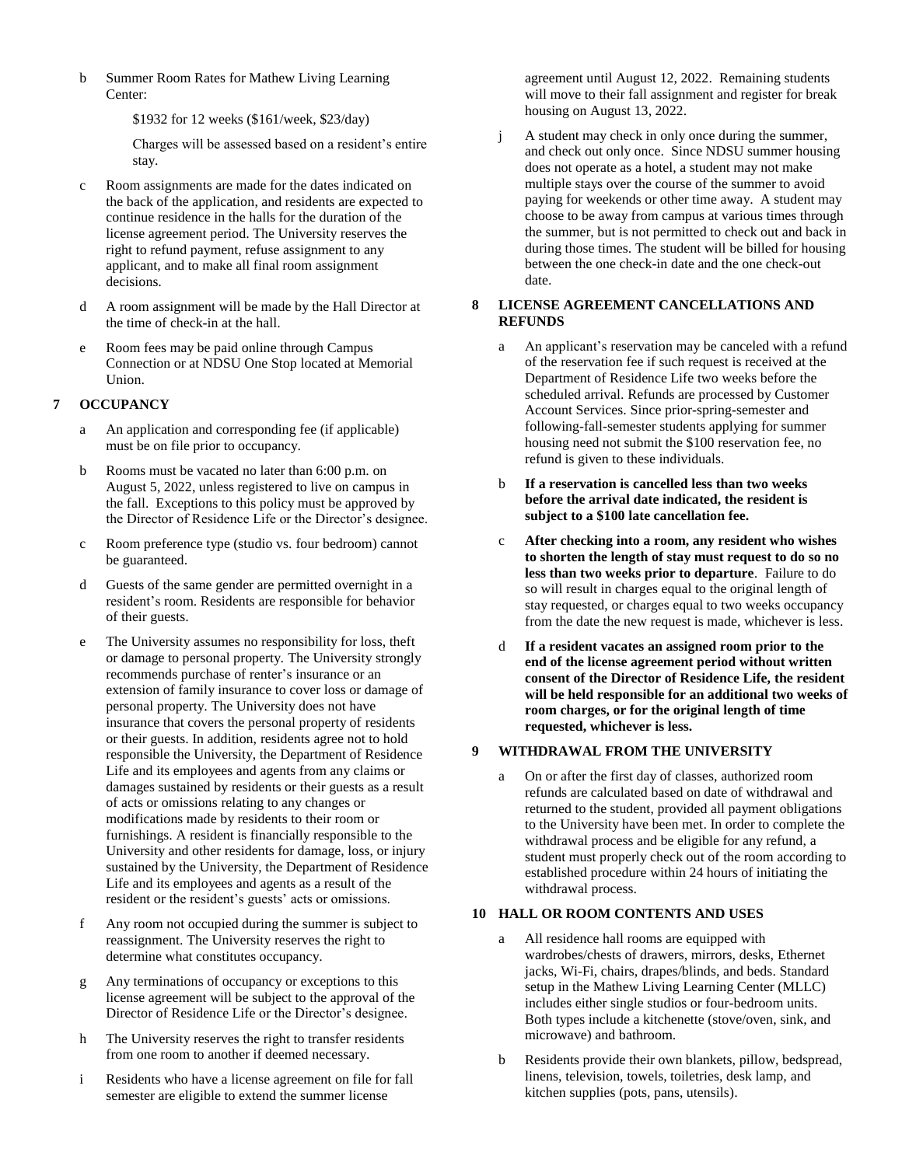b Summer Room Rates for Mathew Living Learning Center:

\$1932 for 12 weeks (\$161/week, \$23/day)

Charges will be assessed based on a resident's entire stay.

- c Room assignments are made for the dates indicated on the back of the application, and residents are expected to continue residence in the halls for the duration of the license agreement period. The University reserves the right to refund payment, refuse assignment to any applicant, and to make all final room assignment decisions.
- d A room assignment will be made by the Hall Director at the time of check-in at the hall.
- e Room fees may be paid online through Campus Connection or at NDSU One Stop located at Memorial Union.

# **7 OCCUPANCY**

- a An application and corresponding fee (if applicable) must be on file prior to occupancy.
- b Rooms must be vacated no later than 6:00 p.m. on August 5, 2022, unless registered to live on campus in the fall. Exceptions to this policy must be approved by the Director of Residence Life or the Director's designee.
- c Room preference type (studio vs. four bedroom) cannot be guaranteed.
- d Guests of the same gender are permitted overnight in a resident's room. Residents are responsible for behavior of their guests.
- e The University assumes no responsibility for loss, theft or damage to personal property. The University strongly recommends purchase of renter's insurance or an extension of family insurance to cover loss or damage of personal property. The University does not have insurance that covers the personal property of residents or their guests. In addition, residents agree not to hold responsible the University, the Department of Residence Life and its employees and agents from any claims or damages sustained by residents or their guests as a result of acts or omissions relating to any changes or modifications made by residents to their room or furnishings. A resident is financially responsible to the University and other residents for damage, loss, or injury sustained by the University, the Department of Residence Life and its employees and agents as a result of the resident or the resident's guests' acts or omissions.
- f Any room not occupied during the summer is subject to reassignment. The University reserves the right to determine what constitutes occupancy.
- Any terminations of occupancy or exceptions to this license agreement will be subject to the approval of the Director of Residence Life or the Director's designee.
- h The University reserves the right to transfer residents from one room to another if deemed necessary.
- i Residents who have a license agreement on file for fall semester are eligible to extend the summer license

agreement until August 12, 2022. Remaining students will move to their fall assignment and register for break housing on August 13, 2022.

j A student may check in only once during the summer, and check out only once. Since NDSU summer housing does not operate as a hotel, a student may not make multiple stays over the course of the summer to avoid paying for weekends or other time away. A student may choose to be away from campus at various times through the summer, but is not permitted to check out and back in during those times. The student will be billed for housing between the one check-in date and the one check-out date.

# **8 LICENSE AGREEMENT CANCELLATIONS AND REFUNDS**

- a An applicant's reservation may be canceled with a refund of the reservation fee if such request is received at the Department of Residence Life two weeks before the scheduled arrival. Refunds are processed by Customer Account Services. Since prior-spring-semester and following-fall-semester students applying for summer housing need not submit the \$100 reservation fee, no refund is given to these individuals.
- b **If a reservation is cancelled less than two weeks before the arrival date indicated, the resident is subject to a \$100 late cancellation fee.**
- c **After checking into a room, any resident who wishes to shorten the length of stay must request to do so no less than two weeks prior to departure**. Failure to do so will result in charges equal to the original length of stay requested, or charges equal to two weeks occupancy from the date the new request is made, whichever is less.
- d **If a resident vacates an assigned room prior to the end of the license agreement period without written consent of the Director of Residence Life, the resident will be held responsible for an additional two weeks of room charges, or for the original length of time requested, whichever is less.**

# **9 WITHDRAWAL FROM THE UNIVERSITY**

a On or after the first day of classes, authorized room refunds are calculated based on date of withdrawal and returned to the student, provided all payment obligations to the University have been met. In order to complete the withdrawal process and be eligible for any refund, a student must properly check out of the room according to established procedure within 24 hours of initiating the withdrawal process.

# **10 HALL OR ROOM CONTENTS AND USES**

- a All residence hall rooms are equipped with wardrobes/chests of drawers, mirrors, desks, Ethernet jacks, Wi-Fi, chairs, drapes/blinds, and beds. Standard setup in the Mathew Living Learning Center (MLLC) includes either single studios or four-bedroom units. Both types include a kitchenette (stove/oven, sink, and microwave) and bathroom.
- b Residents provide their own blankets, pillow, bedspread, linens, television, towels, toiletries, desk lamp, and kitchen supplies (pots, pans, utensils).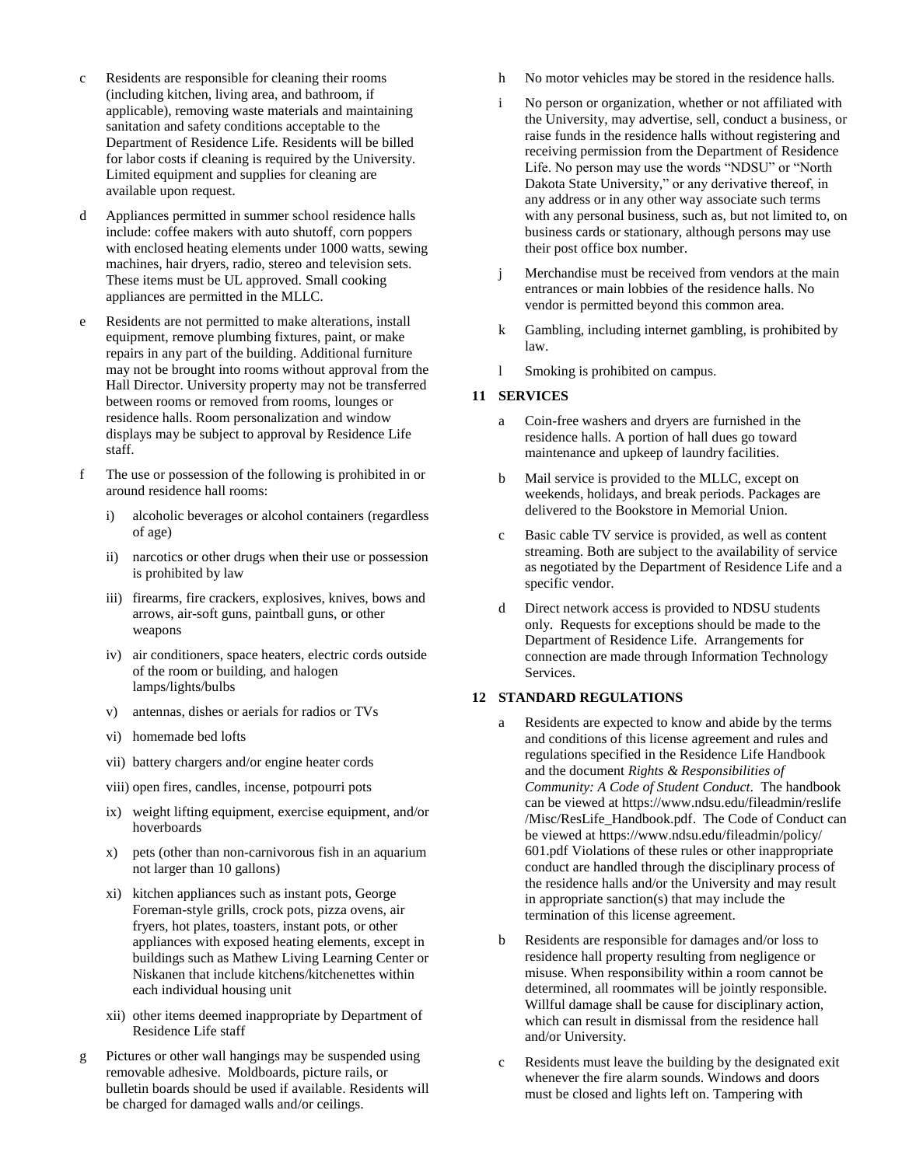- c Residents are responsible for cleaning their rooms (including kitchen, living area, and bathroom, if applicable), removing waste materials and maintaining sanitation and safety conditions acceptable to the Department of Residence Life. Residents will be billed for labor costs if cleaning is required by the University. Limited equipment and supplies for cleaning are available upon request.
- d Appliances permitted in summer school residence halls include: coffee makers with auto shutoff, corn poppers with enclosed heating elements under 1000 watts, sewing machines, hair dryers, radio, stereo and television sets. These items must be UL approved. Small cooking appliances are permitted in the MLLC.
- e Residents are not permitted to make alterations, install equipment, remove plumbing fixtures, paint, or make repairs in any part of the building. Additional furniture may not be brought into rooms without approval from the Hall Director. University property may not be transferred between rooms or removed from rooms, lounges or residence halls. Room personalization and window displays may be subject to approval by Residence Life staff.
- f The use or possession of the following is prohibited in or around residence hall rooms:
	- i) alcoholic beverages or alcohol containers (regardless of age)
	- ii) narcotics or other drugs when their use or possession is prohibited by law
	- iii) firearms, fire crackers, explosives, knives, bows and arrows, air-soft guns, paintball guns, or other weapons
	- iv) air conditioners, space heaters, electric cords outside of the room or building, and halogen lamps/lights/bulbs
	- v) antennas, dishes or aerials for radios or TVs
	- vi) homemade bed lofts
	- vii) battery chargers and/or engine heater cords
	- viii) open fires, candles, incense, potpourri pots
	- ix) weight lifting equipment, exercise equipment, and/or hoverboards
	- x) pets (other than non-carnivorous fish in an aquarium not larger than 10 gallons)
	- xi) kitchen appliances such as instant pots, George Foreman-style grills, crock pots, pizza ovens, air fryers, hot plates, toasters, instant pots, or other appliances with exposed heating elements, except in buildings such as Mathew Living Learning Center or Niskanen that include kitchens/kitchenettes within each individual housing unit
	- xii) other items deemed inappropriate by Department of Residence Life staff
- g Pictures or other wall hangings may be suspended using removable adhesive. Moldboards, picture rails, or bulletin boards should be used if available. Residents will be charged for damaged walls and/or ceilings.
- h No motor vehicles may be stored in the residence halls.
- i No person or organization, whether or not affiliated with the University, may advertise, sell, conduct a business, or raise funds in the residence halls without registering and receiving permission from the Department of Residence Life. No person may use the words "NDSU" or "North Dakota State University," or any derivative thereof, in any address or in any other way associate such terms with any personal business, such as, but not limited to, on business cards or stationary, although persons may use their post office box number.
- j Merchandise must be received from vendors at the main entrances or main lobbies of the residence halls. No vendor is permitted beyond this common area.
- k Gambling, including internet gambling, is prohibited by law.
- l Smoking is prohibited on campus.

# **11 SERVICES**

- a Coin-free washers and dryers are furnished in the residence halls. A portion of hall dues go toward maintenance and upkeep of laundry facilities.
- b Mail service is provided to the MLLC, except on weekends, holidays, and break periods. Packages are delivered to the Bookstore in Memorial Union.
- c Basic cable TV service is provided, as well as content streaming. Both are subject to the availability of service as negotiated by the Department of Residence Life and a specific vendor.
- d Direct network access is provided to NDSU students only. Requests for exceptions should be made to the Department of Residence Life. Arrangements for connection are made through Information Technology Services.

# **12 STANDARD REGULATIONS**

- a Residents are expected to know and abide by the terms and conditions of this license agreement and rules and regulations specified in the Residence Life Handbook and the document *Rights & Responsibilities of Community: A Code of Student Conduct*. The handbook can be viewed at https://www.ndsu.edu/fileadmin/reslife /Misc/ResLife\_Handbook.pdf. The Code of Conduct can be viewed at https://www.ndsu.edu/fileadmin/policy/ 601.pdf Violations of these rules or other inappropriate conduct are handled through the disciplinary process of the residence halls and/or the University and may result in appropriate sanction(s) that may include the termination of this license agreement.
- b Residents are responsible for damages and/or loss to residence hall property resulting from negligence or misuse. When responsibility within a room cannot be determined, all roommates will be jointly responsible. Willful damage shall be cause for disciplinary action, which can result in dismissal from the residence hall and/or University.
- c Residents must leave the building by the designated exit whenever the fire alarm sounds. Windows and doors must be closed and lights left on. Tampering with